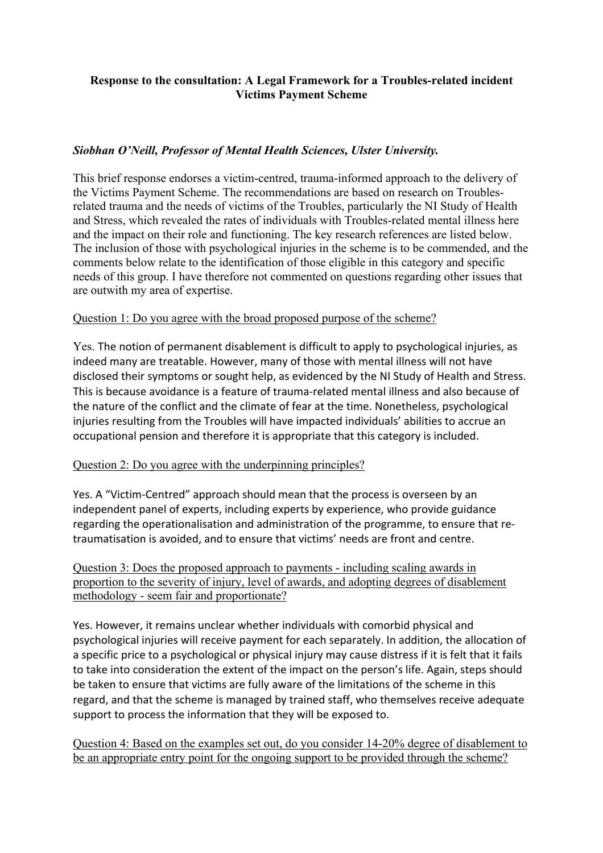# **Response to the consultation: A Legal Framework for a Troubles-related incident Victims Payment Scheme**

# *Siobhan O'Neill, Professor of Mental Health Sciences, Ulster University.*

This brief response endorses a victim-centred, trauma-informed approach to the delivery of the Victims Payment Scheme. The recommendations are based on research on Troublesrelated trauma and the needs of victims of the Troubles, particularly the NI Study of Health and Stress, which revealed the rates of individuals with Troubles-related mental illness here and the impact on their role and functioning. The key research references are listed below. The inclusion of those with psychological injuries in the scheme is to be commended, and the comments below relate to the identification of those eligible in this category and specific needs of this group. I have therefore not commented on questions regarding other issues that are outwith my area of expertise.

## Question 1: Do you agree with the broad proposed purpose of the scheme?

Yes. The notion of permanent disablement is difficult to apply to psychological injuries, as indeed many are treatable. However, many of those with mental illness will not have disclosed their symptoms or sought help, as evidenced by the NI Study of Health and Stress. This is because avoidance is a feature of trauma-related mental illness and also because of the nature of the conflict and the climate of fear at the time. Nonetheless, psychological injuries resulting from the Troubles will have impacted individuals' abilities to accrue an occupational pension and therefore it is appropriate that this category is included.

## Question 2: Do you agree with the underpinning principles?

Yes. A "Victim-Centred" approach should mean that the process is overseen by an independent panel of experts, including experts by experience, who provide guidance regarding the operationalisation and administration of the programme, to ensure that retraumatisation is avoided, and to ensure that victims' needs are front and centre.

Question 3: Does the proposed approach to payments - including scaling awards in proportion to the severity of injury, level of awards, and adopting degrees of disablement methodology - seem fair and proportionate?

Yes. However, it remains unclear whether individuals with comorbid physical and psychological injuries will receive payment for each separately. In addition, the allocation of a specific price to a psychological or physical injury may cause distress if it is felt that it fails to take into consideration the extent of the impact on the person's life. Again, steps should be taken to ensure that victims are fully aware of the limitations of the scheme in this regard, and that the scheme is managed by trained staff, who themselves receive adequate support to process the information that they will be exposed to.

Question 4: Based on the examples set out, do you consider 14-20% degree of disablement to be an appropriate entry point for the ongoing support to be provided through the scheme?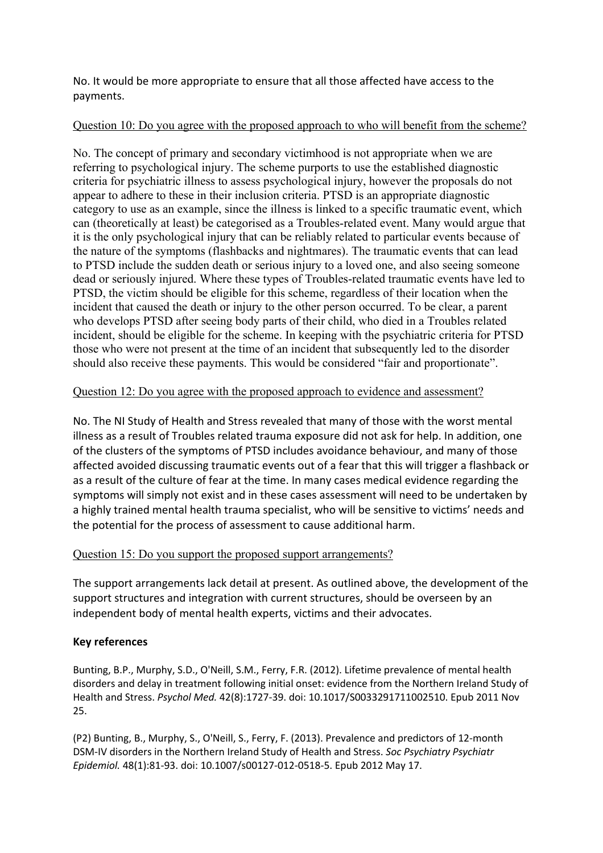No. It would be more appropriate to ensure that all those affected have access to the payments.

#### Question 10: Do you agree with the proposed approach to who will benefit from the scheme?

No. The concept of primary and secondary victimhood is not appropriate when we are referring to psychological injury. The scheme purports to use the established diagnostic criteria for psychiatric illness to assess psychological injury, however the proposals do not appear to adhere to these in their inclusion criteria. PTSD is an appropriate diagnostic category to use as an example, since the illness is linked to a specific traumatic event, which can (theoretically at least) be categorised as a Troubles-related event. Many would argue that it is the only psychological injury that can be reliably related to particular events because of the nature of the symptoms (flashbacks and nightmares). The traumatic events that can lead to PTSD include the sudden death or serious injury to a loved one, and also seeing someone dead or seriously injured. Where these types of Troubles-related traumatic events have led to PTSD, the victim should be eligible for this scheme, regardless of their location when the incident that caused the death or injury to the other person occurred. To be clear, a parent who develops PTSD after seeing body parts of their child, who died in a Troubles related incident, should be eligible for the scheme. In keeping with the psychiatric criteria for PTSD those who were not present at the time of an incident that subsequently led to the disorder should also receive these payments. This would be considered "fair and proportionate".

## Question 12: Do you agree with the proposed approach to evidence and assessment?

No. The NI Study of Health and Stress revealed that many of those with the worst mental illness as a result of Troubles related trauma exposure did not ask for help. In addition, one of the clusters of the symptoms of PTSD includes avoidance behaviour, and many of those affected avoided discussing traumatic events out of a fear that this will trigger a flashback or as a result of the culture of fear at the time. In many cases medical evidence regarding the symptoms will simply not exist and in these cases assessment will need to be undertaken by a highly trained mental health trauma specialist, who will be sensitive to victims' needs and the potential for the process of assessment to cause additional harm.

## Question 15: Do you support the proposed support arrangements?

The support arrangements lack detail at present. As outlined above, the development of the support structures and integration with current structures, should be overseen by an independent body of mental health experts, victims and their advocates.

## **Key references**

Bunting, B.P., Murphy, S.D., O'Neill, S.M., Ferry, F.R. (2012). Lifetime prevalence of mental health disorders and delay in treatment following initial onset: evidence from the Northern Ireland Study of Health and Stress. *Psychol Med.* 42(8):1727-39. doi: 10.1017/S0033291711002510. Epub 2011 Nov 25.

(P2) Bunting, B., Murphy, S., O'Neill, S., Ferry, F. (2013). Prevalence and predictors of 12-month DSM-IV disorders in the Northern Ireland Study of Health and Stress. *Soc Psychiatry Psychiatr Epidemiol.* 48(1):81-93. doi: 10.1007/s00127-012-0518-5. Epub 2012 May 17.